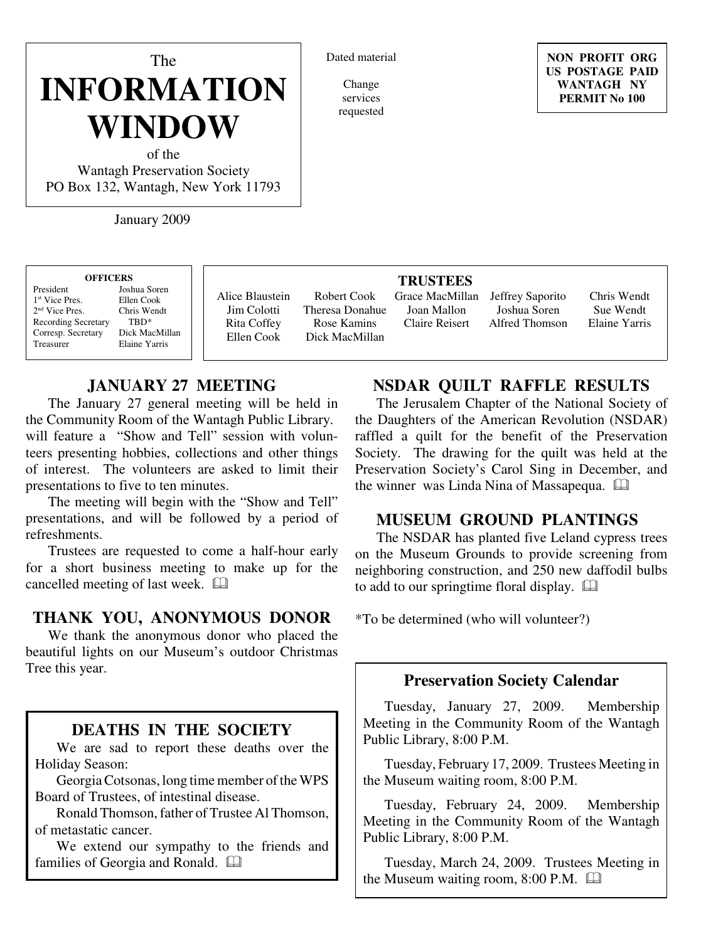# The **INFORMATION WINDOW**

of the Wantagh Preservation Society PO Box 132, Wantagh, New York 11793

January 2009

| <b>OFFICERS</b>            |                |  |  |
|----------------------------|----------------|--|--|
|                            |                |  |  |
| President                  | Joshua Soren   |  |  |
| 1 <sup>st</sup> Vice Pres. | Ellen Cook     |  |  |
| 2 <sup>nd</sup> Vice Pres. | Chris Wendt    |  |  |
| <b>Recording Secretary</b> | TBD*           |  |  |
| Corresp. Secretary         | Dick MacMillan |  |  |
| Treasurer                  | Elaine Yarris  |  |  |

Alice Blaustein Jim Colotti Rita Coffey Ellen Cook

#### Robert Cook Theresa Donahue Rose Kamins Dick MacMillan

Dated material

Change services requested

## **TRUSTEES** Joan Mallon Claire Reisert

Grace MacMillan Jeffrey Saporito

Joshua Soren Alfred Thomson

Chris Wendt Sue Wendt Elaine Yarris

# **JANUARY 27 MEETING**

The January 27 general meeting will be held in the Community Room of the Wantagh Public Library. will feature a "Show and Tell" session with volunteers presenting hobbies, collections and other things of interest. The volunteers are asked to limit their presentations to five to ten minutes.

The meeting will begin with the "Show and Tell" presentations, and will be followed by a period of refreshments.

Trustees are requested to come a half-hour early for a short business meeting to make up for the cancelled meeting of last week.

### **THANK YOU, ANONYMOUS DONOR**

We thank the anonymous donor who placed the beautiful lights on our Museum's outdoor Christmas Tree this year.

## **DEATHS IN THE SOCIETY**

We are sad to report these deaths over the Holiday Season:

Georgia Cotsonas, long time member of the WPS Board of Trustees, of intestinal disease.

Ronald Thomson, father of Trustee Al Thomson, of metastatic cancer.

We extend our sympathy to the friends and families of Georgia and Ronald.

# **NSDAR QUILT RAFFLE RESULTS**

The Jerusalem Chapter of the National Society of the Daughters of the American Revolution (NSDAR) raffled a quilt for the benefit of the Preservation Society. The drawing for the quilt was held at the Preservation Society's Carol Sing in December, and the winner was Linda Nina of Massapequa.

# **MUSEUM GROUND PLANTINGS**

The NSDAR has planted five Leland cypress trees on the Museum Grounds to provide screening from neighboring construction, and 250 new daffodil bulbs to add to our springtime floral display.

\*To be determined (who will volunteer?)

## **Preservation Society Calendar**

Tuesday, January 27, 2009. Membership Meeting in the Community Room of the Wantagh Public Library, 8:00 P.M.

Tuesday, February 17, 2009. Trustees Meeting in the Museum waiting room, 8:00 P.M.

Tuesday, February 24, 2009. Membership Meeting in the Community Room of the Wantagh Public Library, 8:00 P.M.

Tuesday, March 24, 2009. Trustees Meeting in the Museum waiting room, 8:00 P.M.

**NON PROFIT ORG US POSTAGE PAID WANTAGH NY PERMIT No 100**